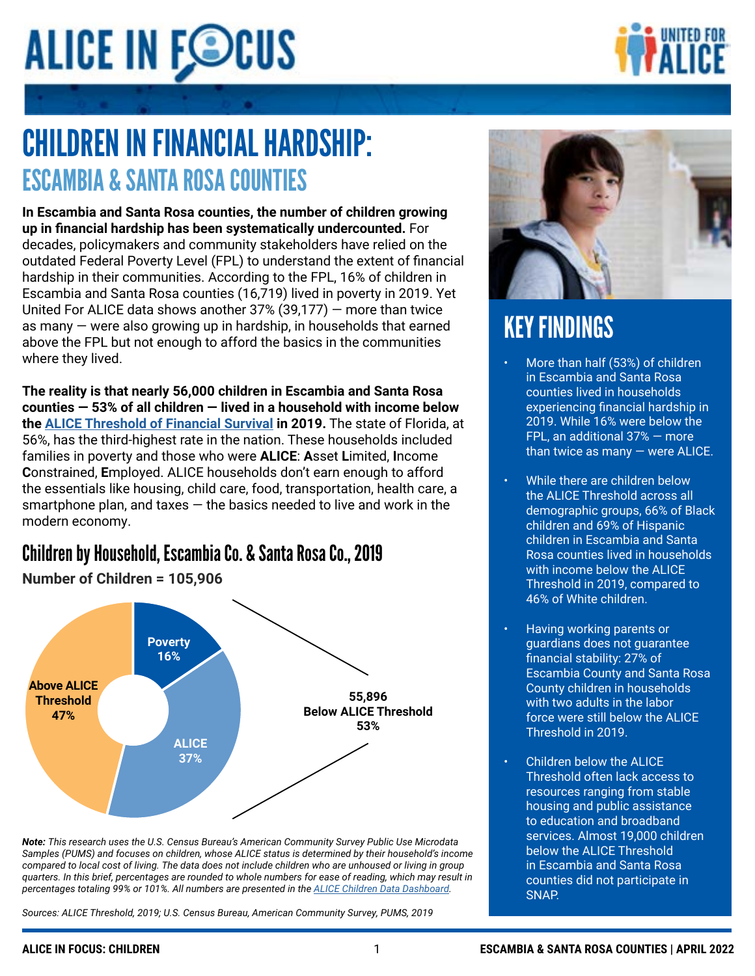# **ALICE IN FOCUS**

### CHILDREN IN FINANCIAL HARDSHIP: CHILDREN IN FINANCIAL HARDSHIP: ESCAMBIA & SANTA ROSA COUNTIES

In Escambia and Santa Rosa counties, the number of children growing **up in financial hardship has been systematically undercounted.** For decades, policymakers and community stakeholders have relied on the outdated Federal Poverty Level (FPL) to understand the extent of financial hardship in their communities. According to the FPL, 16% of children in naraship in their seminialities. According to the FTE, Tere of Silitarshim<br>Escambia and Santa Rosa counties (16,719) lived in poverty in 2019. Yet  $t_{\text{total}}$  and band robe counted (10,713) investing poverty in 2013 United For ALICE data shows another  $37\%$   $(39,177)$  — more than twice as many – were also growing up in hardship, in households that earned. **The reality is that just under 2.4 million children in Florida** — **56% of all**  where they lived. above the FPL but not enough to afford the basics in the communities

**of Financial Survival in 2019, the third-highest rate in the nation.** These **The reality is that nearly 56,000 children in Escambia and Santa Rosa**  counties — 53% of all children — lived in a household with income below **the [ALICE Threshold of Financial Survival](https://www.unitedforalice.org/methodology) in 2019. The state of Florida, at** 56%, has the third-highest rate in the nation. These households included families in poverty and those who were ALICE: Asset Limited, Income **Constrained, Employed. ALICE households don't earn enough to afford below threshold in communities across the State Communities and the essentials like housing, child care, food, transportation, health care, a** and documents inducing, of the besies nonded to live and work is smartphone plan, and taxes — the basics needed to live and work in the<br>smartphone plan, and taxes — the basics needed to live and work in the modern economy.

### Children by Household, Escambia Co. & Santa Rosa Co., 2019



*compared to local cost of living. The data does not include children who are unhoused or living in group Note: This research uses the U.S. Census Bureau's American Community Survey Public Use Microdata quarters. In this brief, percentages are rounded to whole numbers for ease of reading, which may result in percentages totaling 99% or 101%. All numbers are presented in the ALICE Children Data Dashboard. Samples (PUMS) and focuses on children, whose ALICE status is determined by their household's income Sources: ALICE Threshold, 2019; U.S. Census Bureau, American Community Survey, PUMS, 2019 quarters. In this brief, percentages are rounded to whole numbers for ease of reading, which may result in compared to local cost of living. The data does not include children who are unhoused or living in group percentages totaling 99% or 101%. All numbers are presented in the [ALICE Children Data Dashboard](https://www.unitedforalice.org/dashboard/focus-children).*

**ALICE IN FOCUS: CHILDREN 1 FLORIDA RESEARCH BRIEF | APRIL 2022** *Sources: ALICE Threshold, 2019; U.S. Census Bureau, American Community Survey, PUMS, 2019*



### KEY FINDINGS KEY FINDINGS

- More than half (56%) of children in in Escambia and Santa Rosa Florida lived in households counties lived in households experiencing financial hardship in experiencing financial hardship in 2019. While 17% were below the 2019. While 16% were below the  $E(1, 2)$ . While 10% were below the than  $FPR$ , an additional  $37%$  – more twice as many — were ALICE. than twice as many — were ALICE. • More than half (53%) of children
- $\cdot$  While there are children below ALICE Threshold across all the ALICE Threshold across all demographic groups, 73% of Black demographic groups, 66% of Black children and 66% of Hispanic children and 69% of Hispanic children in Escambia and Santa **households Rosa counties lived in households** with income below the ALICE Threshold in 2019, compared to • Having working parents or 46% of White children.
- Having working parents or final stability: 36% of Florida state state of Florida and Florida and Florida state of Florida and Turantee financial stability: 27% of **Escambia County and Santa Rosa below the County children in households France were still below the ALICE** often lack access to response the Threshold in 2019. with two adults in the labor
	- $\cdot$  Children below the ALICE **band in Threshold often lack access to** resources ranging from stable **Threshold in Florida in Florida in Florida in Florida in Florida in Florida in Florida in Florida in Florida** to education and broadband services. Almost 19,000 children below the ALICE Threshold in Escambia and Santa Rosa counties did not participate in SNAP.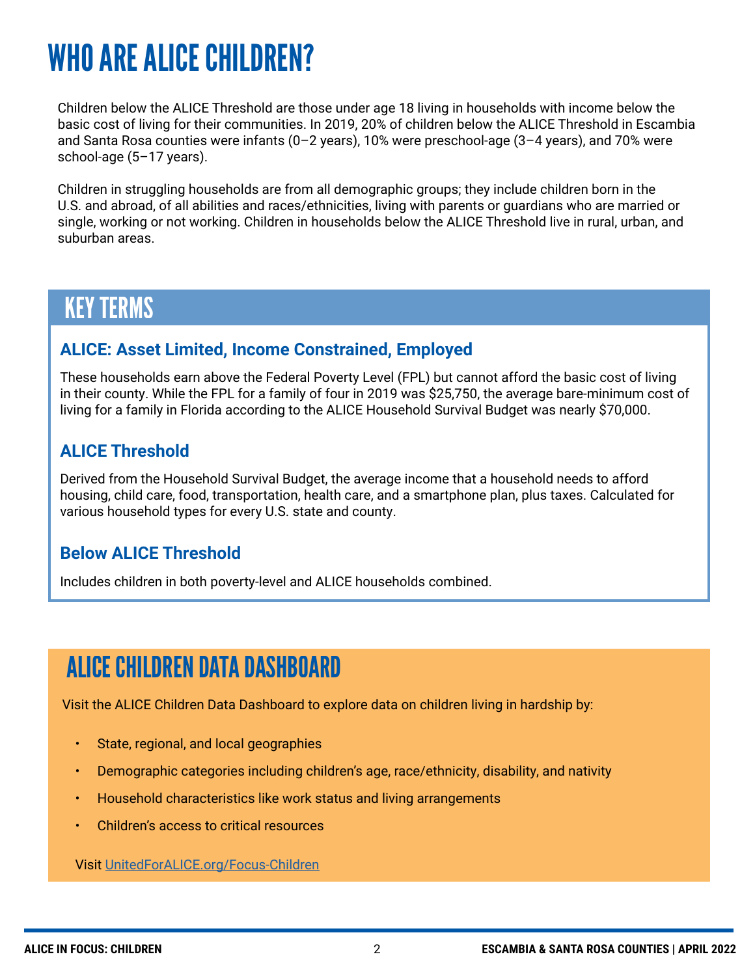## WHO ARE ALICE CHILDREN?

Children below the ALICE Threshold are those under age 18 living in households with income below the basic cost of living for their communities. In 2019, 20% of children below the ALICE Threshold in Escambia and Santa Rosa counties were infants (0–2 years), 10% were preschool-age (3–4 years), and 70% were school-age (5–17 years).

Children in struggling households are from all demographic groups; they include children born in the U.S. and abroad, of all abilities and races/ethnicities, living with parents or guardians who are married or single, working or not working. Children in households below the ALICE Threshold live in rural, urban, and suburban areas.

### KEY TERMS

#### **ALICE: Asset Limited, Income Constrained, Employed**

These households earn above the Federal Poverty Level (FPL) but cannot afford the basic cost of living in their county. While the FPL for a family of four in 2019 was \$25,750, the average bare-minimum cost of living for a family in Florida according to the ALICE Household Survival Budget was nearly \$70,000.

#### **ALICE Threshold**

Derived from the Household Survival Budget, the average income that a household needs to afford housing, child care, food, transportation, health care, and a smartphone plan, plus taxes. Calculated for various household types for every U.S. state and county.

#### **Below ALICE Threshold**

Includes children in both poverty-level and ALICE households combined.

### ALICE CHILDREN DATA DASHBOARD

Visit the ALICE Children Data Dashboard to explore data on children living in hardship by:

- State, regional, and local geographies
- Demographic categories including children's age, race/ethnicity, disability, and nativity
- Household characteristics like work status and living arrangements
- Children's access to critical resources

Visit [UnitedForALICE.org/Focus-Children](https://unitedforalice.org/focus-children)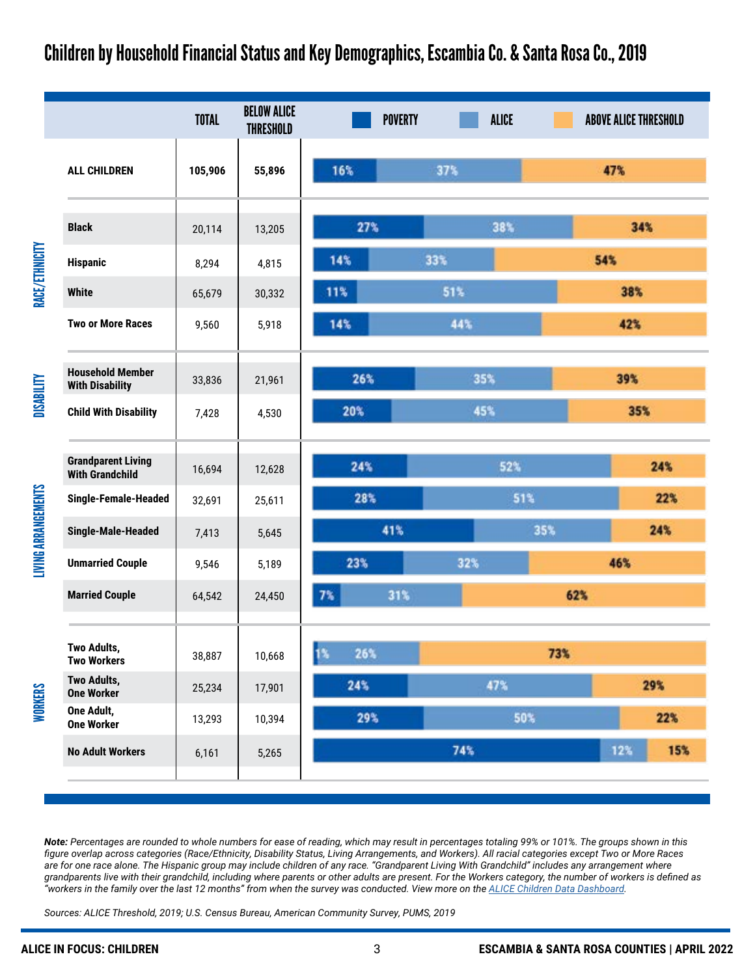#### Children by Household Financial Status and Key Demographics, Escambia Co. & Santa Rosa Co., 2019

|                                                     | <b>TOTAL</b> | <b>BELOW ALICE</b><br><b>THRESHOLD</b> | <b>POVERTY</b> | <b>ALICE</b> |            | <b>ABOVE ALICE THRESHOLD</b> |
|-----------------------------------------------------|--------------|----------------------------------------|----------------|--------------|------------|------------------------------|
| <b>ALL CHILDREN</b>                                 | 105,906      | 55,896                                 | 16%            | 37%          |            | 47%                          |
| <b>Black</b>                                        | 20,114       | 13,205                                 | 27%            | 38%          |            | 34%                          |
| <b>Hispanic</b>                                     | 8,294        | 4,815                                  | 14%            | 33%          | 54%        |                              |
| <b>White</b>                                        | 65,679       | 30,332                                 | 11%            | 51%          |            | 38%                          |
| <b>Two or More Races</b>                            | 9,560        | 5,918                                  | 14%            | 44%          |            | 42%                          |
| <b>Household Member</b><br><b>With Disability</b>   | 33,836       | 21,961                                 | 26%            | 35%          |            | 39%                          |
| <b>Child With Disability</b>                        | 7,428        | 4,530                                  | 20%            | 45%          |            | 35%                          |
| <b>Grandparent Living</b><br><b>With Grandchild</b> | 16,694       | 12,628                                 | 24%            | 52%          |            | 24%                          |
| Single-Female-Headed                                | 32,691       | 25,611                                 | 28%            | 51%          |            | 22%                          |
| Single-Male-Headed                                  | 7,413        | 5,645                                  | 41%            | 35%          |            | 24%                          |
| <b>Unmarried Couple</b>                             | 9,546        | 5,189                                  | 23%            | 32%          | 46%        |                              |
| <b>Married Couple</b>                               | 64,542       | 24,450                                 | 7%<br>31%      |              | 62%        |                              |
| Two Adults,<br><b>Two Workers</b>                   | 38,887       | 10,668                                 | 13<br>26%      |              | 73%        |                              |
| Two Adults,<br><b>One Worker</b>                    | 25,234       | 17,901                                 | 24%            | 47%          | 29%        |                              |
| One Adult,<br><b>One Worker</b>                     | 13,293       | 10,394                                 | 29%            |              | 22%<br>50% |                              |
| <b>No Adult Workers</b>                             | 6,161        | 5,265                                  |                | 74%          |            | 12%<br>15%                   |

*Note: Percentages are rounded to whole numbers for ease of reading, which may result in percentages totaling 99% or 101%. The groups shown in this figure overlap across categories (Race/Ethnicity, Disability Status, Living Arrangements, and Workers). All racial categories except Two or More Races*  are for one race alone. The Hispanic group may include children of any race. "Grandparent Living With Grandchild" includes any arrangement where *grandparents live with their grandchild, including where parents or other adults are present. For the Workers category, the number of workers is defined as "workers in the family over the last 12 months" from when the survey was conducted. View more on the [ALICE Children Data Dashboard](https://www.unitedforalice.org/dashboard/focus-children).* 

*Sources: ALICE Threshold, 2019; U.S. Census Bureau, American Community Survey, PUMS, 2019*